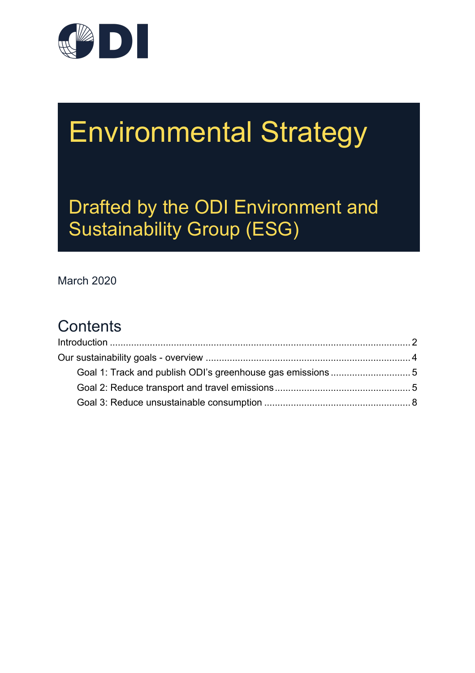

# Environmental Strategy

Drafted by the ODI Environment and Sustainability Group (ESG)

March 2020

# **Contents**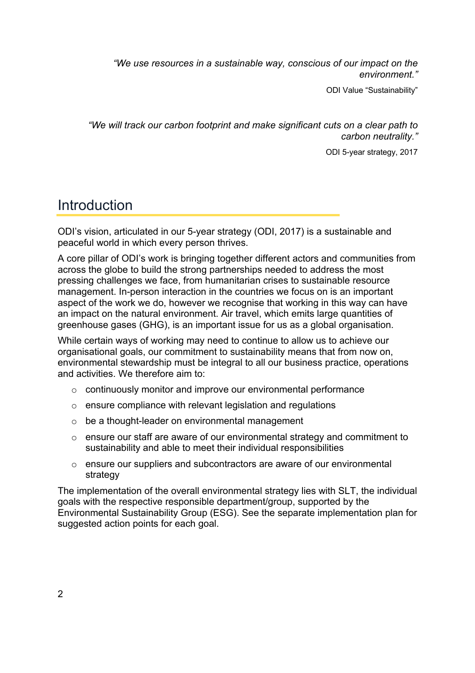*"We use resources in a sustainable way, conscious of our impact on the environment."*

ODI Value "Sustainability"

*"We will track our carbon footprint and make significant cuts on a clear path to carbon neutrality."*

ODI 5-year strategy, 2017

### Introduction

ODI's vision, articulated in our 5-year strategy (ODI, 2017) is a sustainable and peaceful world in which every person thrives.

A core pillar of ODI's work is bringing together different actors and communities from across the globe to build the strong partnerships needed to address the most pressing challenges we face, from humanitarian crises to sustainable resource management. In-person interaction in the countries we focus on is an important aspect of the work we do, however we recognise that working in this way can have an impact on the natural environment. Air travel, which emits large quantities of greenhouse gases (GHG), is an important issue for us as a global organisation.

While certain ways of working may need to continue to allow us to achieve our organisational goals, our commitment to sustainability means that from now on, environmental stewardship must be integral to all our business practice, operations and activities. We therefore aim to:

- o continuously monitor and improve our environmental performance
- o ensure compliance with relevant legislation and regulations
- o be a thought-leader on environmental management
- $\circ$  ensure our staff are aware of our environmental strategy and commitment to sustainability and able to meet their individual responsibilities
- o ensure our suppliers and subcontractors are aware of our environmental strategy

The implementation of the overall environmental strategy lies with SLT, the individual goals with the respective responsible department/group, supported by the Environmental Sustainability Group (ESG). See the separate implementation plan for suggested action points for each goal.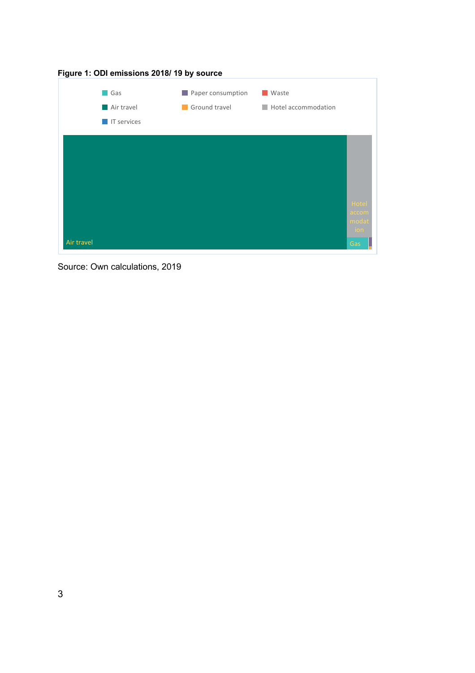

Source: Own calculations, 2019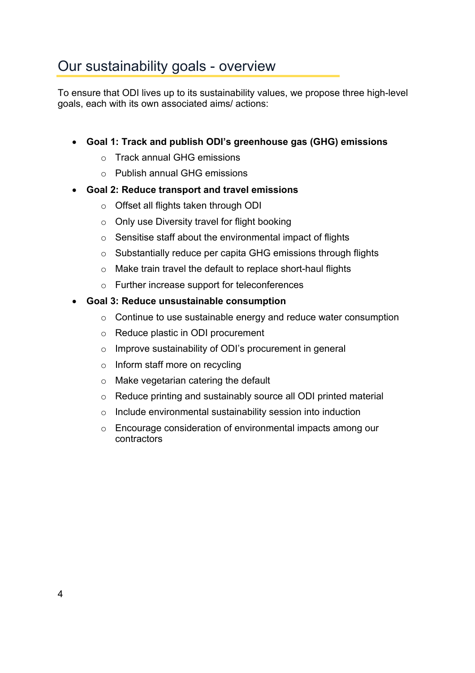## Our sustainability goals - overview

To ensure that ODI lives up to its sustainability values, we propose three high-level goals, each with its own associated aims/ actions:

#### • **Goal 1: Track and publish ODI's greenhouse gas (GHG) emissions**

- o Track annual GHG emissions
- o Publish annual GHG emissions
- **Goal 2: Reduce transport and travel emissions**
	- o Offset all flights taken through ODI
	- o Only use Diversity travel for flight booking
	- o Sensitise staff about the environmental impact of flights
	- o Substantially reduce per capita GHG emissions through flights
	- o Make train travel the default to replace short-haul flights
	- o Further increase support for teleconferences

#### • **Goal 3: Reduce unsustainable consumption**

- o Continue to use sustainable energy and reduce water consumption
- o Reduce plastic in ODI procurement
- o Improve sustainability of ODI's procurement in general
- o Inform staff more on recycling
- o Make vegetarian catering the default
- o Reduce printing and sustainably source all ODI printed material
- o Include environmental sustainability session into induction
- o Encourage consideration of environmental impacts among our contractors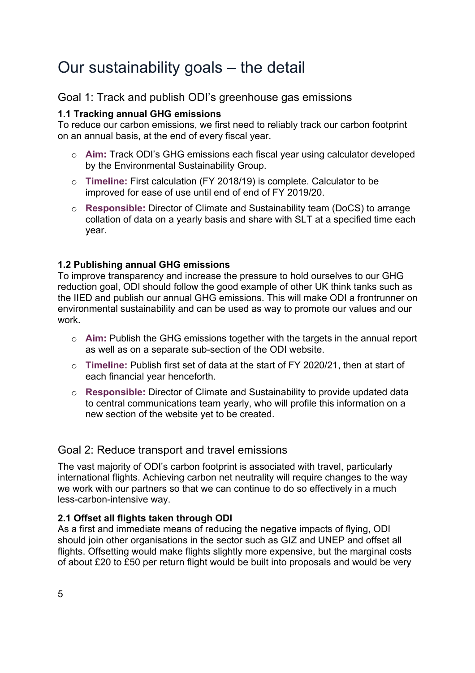# Our sustainability goals – the detail

#### Goal 1: Track and publish ODI's greenhouse gas emissions

#### **1.1 Tracking annual GHG emissions**

To reduce our carbon emissions, we first need to reliably track our carbon footprint on an annual basis, at the end of every fiscal year.

- o **Aim:** Track ODI's GHG emissions each fiscal year using calculator developed by the Environmental Sustainability Group.
- o **Timeline:** First calculation (FY 2018/19) is complete. Calculator to be improved for ease of use until end of end of FY 2019/20.
- o **Responsible:** Director of Climate and Sustainability team (DoCS) to arrange collation of data on a yearly basis and share with SLT at a specified time each year.

#### **1.2 Publishing annual GHG emissions**

To improve transparency and increase the pressure to hold ourselves to our GHG reduction goal, ODI should follow the good example of other UK think tanks such as the IIED and publish our annual GHG emissions. This will make ODI a frontrunner on environmental sustainability and can be used as way to promote our values and our work.

- o **Aim:** Publish the GHG emissions together with the targets in the annual report as well as on a separate sub-section of the ODI website.
- o **Timeline:** Publish first set of data at the start of FY 2020/21, then at start of each financial year henceforth.
- o **Responsible:** Director of Climate and Sustainability to provide updated data to central communications team yearly, who will profile this information on a new section of the website yet to be created.

#### Goal 2: Reduce transport and travel emissions

The vast majority of ODI's carbon footprint is associated with travel, particularly international flights. Achieving carbon net neutrality will require changes to the way we work with our partners so that we can continue to do so effectively in a much less-carbon-intensive way.

#### **2.1 Offset all flights taken through ODI**

As a first and immediate means of reducing the negative impacts of flying, ODI should join other organisations in the sector such as GIZ and UNEP and offset all flights. Offsetting would make flights slightly more expensive, but the marginal costs of about £20 to £50 per return flight would be built into proposals and would be very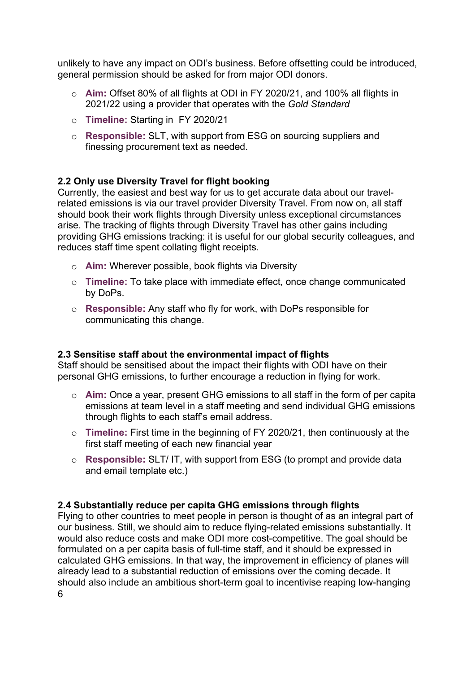unlikely to have any impact on ODI's business. Before offsetting could be introduced, general permission should be asked for from major ODI donors.

- o **Aim:** Offset 80% of all flights at ODI in FY 2020/21, and 100% all flights in 2021/22 using a provider that operates with the *Gold Standard*
- o **Timeline:** Starting in FY 2020/21
- o **Responsible:** SLT, with support from ESG on sourcing suppliers and finessing procurement text as needed.

#### **2.2 Only use Diversity Travel for flight booking**

Currently, the easiest and best way for us to get accurate data about our travelrelated emissions is via our travel provider Diversity Travel. From now on, all staff should book their work flights through Diversity unless exceptional circumstances arise. The tracking of flights through Diversity Travel has other gains including providing GHG emissions tracking: it is useful for our global security colleagues, and reduces staff time spent collating flight receipts.

- o **Aim:** Wherever possible, book flights via Diversity
- o **Timeline:** To take place with immediate effect, once change communicated by DoPs.
- o **Responsible:** Any staff who fly for work, with DoPs responsible for communicating this change.

#### **2.3 Sensitise staff about the environmental impact of flights**

Staff should be sensitised about the impact their flights with ODI have on their personal GHG emissions, to further encourage a reduction in flying for work.

- o **Aim:** Once a year, present GHG emissions to all staff in the form of per capita emissions at team level in a staff meeting and send individual GHG emissions through flights to each staff's email address.
- o **Timeline:** First time in the beginning of FY 2020/21, then continuously at the first staff meeting of each new financial year
- o **Responsible:** SLT/ IT, with support from ESG (to prompt and provide data and email template etc.)

#### **2.4 Substantially reduce per capita GHG emissions through flights**

Flying to other countries to meet people in person is thought of as an integral part of our business. Still, we should aim to reduce flying-related emissions substantially. It would also reduce costs and make ODI more cost-competitive. The goal should be formulated on a per capita basis of full-time staff, and it should be expressed in calculated GHG emissions. In that way, the improvement in efficiency of planes will already lead to a substantial reduction of emissions over the coming decade. It should also include an ambitious short-term goal to incentivise reaping low-hanging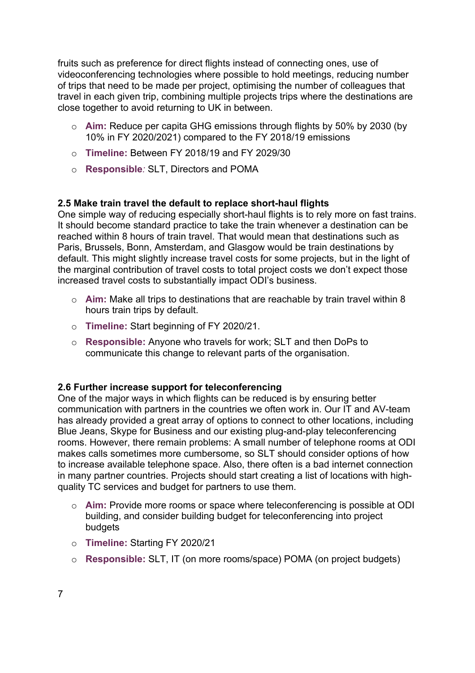fruits such as preference for direct flights instead of connecting ones, use of videoconferencing technologies where possible to hold meetings, reducing number of trips that need to be made per project, optimising the number of colleagues that travel in each given trip, combining multiple projects trips where the destinations are close together to avoid returning to UK in between.

- o **Aim:** Reduce per capita GHG emissions through flights by 50% by 2030 (by 10% in FY 2020/2021) compared to the FY 2018/19 emissions
- o **Timeline:** Between FY 2018/19 and FY 2029/30
- o **Responsible***:* SLT, Directors and POMA

#### **2.5 Make train travel the default to replace short-haul flights**

One simple way of reducing especially short-haul flights is to rely more on fast trains. It should become standard practice to take the train whenever a destination can be reached within 8 hours of train travel. That would mean that destinations such as Paris, Brussels, Bonn, Amsterdam, and Glasgow would be train destinations by default. This might slightly increase travel costs for some projects, but in the light of the marginal contribution of travel costs to total project costs we don't expect those increased travel costs to substantially impact ODI's business.

- o **Aim:** Make all trips to destinations that are reachable by train travel within 8 hours train trips by default.
- o **Timeline:** Start beginning of FY 2020/21.
- o **Responsible:** Anyone who travels for work; SLT and then DoPs to communicate this change to relevant parts of the organisation.

#### **2.6 Further increase support for teleconferencing**

One of the major ways in which flights can be reduced is by ensuring better communication with partners in the countries we often work in. Our IT and AV-team has already provided a great array of options to connect to other locations, including Blue Jeans, Skype for Business and our existing plug-and-play teleconferencing rooms. However, there remain problems: A small number of telephone rooms at ODI makes calls sometimes more cumbersome, so SLT should consider options of how to increase available telephone space. Also, there often is a bad internet connection in many partner countries. Projects should start creating a list of locations with highquality TC services and budget for partners to use them.

- o **Aim:** Provide more rooms or space where teleconferencing is possible at ODI building, and consider building budget for teleconferencing into project **budgets**
- o **Timeline:** Starting FY 2020/21
- o **Responsible:** SLT, IT (on more rooms/space) POMA (on project budgets)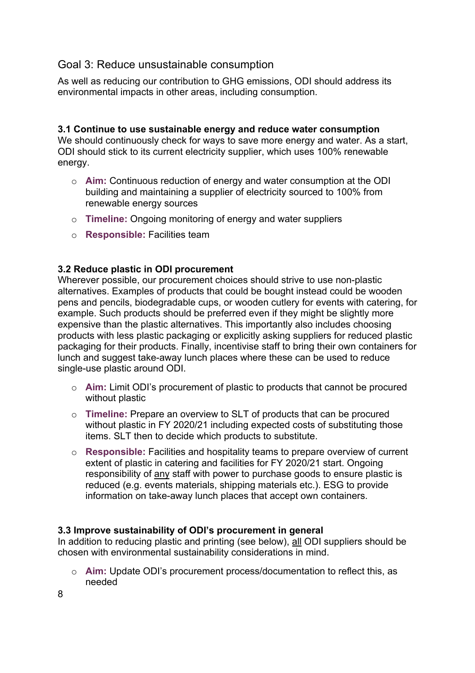#### Goal 3: Reduce unsustainable consumption

As well as reducing our contribution to GHG emissions, ODI should address its environmental impacts in other areas, including consumption.

#### **3.1 Continue to use sustainable energy and reduce water consumption**

We should continuously check for ways to save more energy and water. As a start, ODI should stick to its current electricity supplier, which uses 100% renewable energy.

- o **Aim:** Continuous reduction of energy and water consumption at the ODI building and maintaining a supplier of electricity sourced to 100% from renewable energy sources
- o **Timeline:** Ongoing monitoring of energy and water suppliers
- o **Responsible:** Facilities team

#### **3.2 Reduce plastic in ODI procurement**

Wherever possible, our procurement choices should strive to use non-plastic alternatives. Examples of products that could be bought instead could be wooden pens and pencils, biodegradable cups, or wooden cutlery for events with catering, for example. Such products should be preferred even if they might be slightly more expensive than the plastic alternatives. This importantly also includes choosing products with less plastic packaging or explicitly asking suppliers for reduced plastic packaging for their products. Finally, incentivise staff to bring their own containers for lunch and suggest take-away lunch places where these can be used to reduce single-use plastic around ODI.

- o **Aim:** Limit ODI's procurement of plastic to products that cannot be procured without plastic
- o **Timeline:** Prepare an overview to SLT of products that can be procured without plastic in FY 2020/21 including expected costs of substituting those items. SLT then to decide which products to substitute.
- o **Responsible:** Facilities and hospitality teams to prepare overview of current extent of plastic in catering and facilities for FY 2020/21 start. Ongoing responsibility of any staff with power to purchase goods to ensure plastic is reduced (e.g. events materials, shipping materials etc.). ESG to provide information on take-away lunch places that accept own containers.

#### **3.3 Improve sustainability of ODI's procurement in general**

In addition to reducing plastic and printing (see below), all ODI suppliers should be chosen with environmental sustainability considerations in mind.

o **Aim:** Update ODI's procurement process/documentation to reflect this, as needed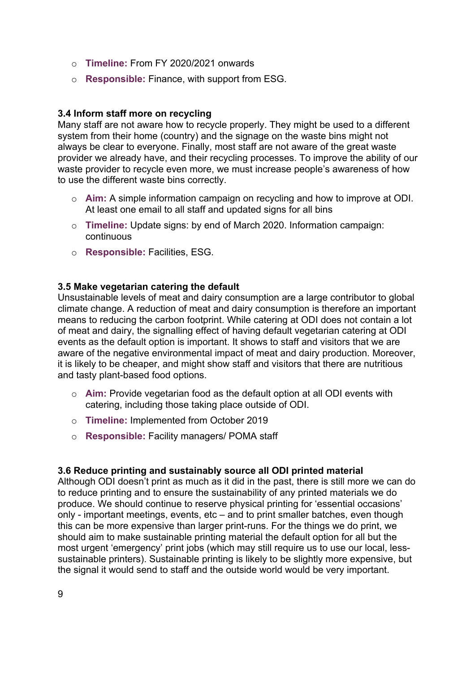- o **Timeline:** From FY 2020/2021 onwards
- o **Responsible:** Finance, with support from ESG.

#### **3.4 Inform staff more on recycling**

Many staff are not aware how to recycle properly. They might be used to a different system from their home (country) and the signage on the waste bins might not always be clear to everyone. Finally, most staff are not aware of the great waste provider we already have, and their recycling processes. To improve the ability of our waste provider to recycle even more, we must increase people's awareness of how to use the different waste bins correctly.

- o **Aim:** A simple information campaign on recycling and how to improve at ODI. At least one email to all staff and updated signs for all bins
- o **Timeline:** Update signs: by end of March 2020. Information campaign: continuous
- o **Responsible:** Facilities, ESG.

#### **3.5 Make vegetarian catering the default**

Unsustainable levels of meat and dairy consumption are a large contributor to global climate change. A reduction of meat and dairy consumption is therefore an important means to reducing the carbon footprint. While catering at ODI does not contain a lot of meat and dairy, the signalling effect of having default vegetarian catering at ODI events as the default option is important. It shows to staff and visitors that we are aware of the negative environmental impact of meat and dairy production. Moreover, it is likely to be cheaper, and might show staff and visitors that there are nutritious and tasty plant-based food options.

- o **Aim:** Provide vegetarian food as the default option at all ODI events with catering, including those taking place outside of ODI.
- o **Timeline:** Implemented from October 2019
- o **Responsible:** Facility managers/ POMA staff

#### **3.6 Reduce printing and sustainably source all ODI printed material**

Although ODI doesn't print as much as it did in the past, there is still more we can do to reduce printing and to ensure the sustainability of any printed materials we do produce. We should continue to reserve physical printing for 'essential occasions' only - important meetings, events, etc – and to print smaller batches, even though this can be more expensive than larger print-runs. For the things we do print, we should aim to make sustainable printing material the default option for all but the most urgent 'emergency' print jobs (which may still require us to use our local, lesssustainable printers). Sustainable printing is likely to be slightly more expensive, but the signal it would send to staff and the outside world would be very important.